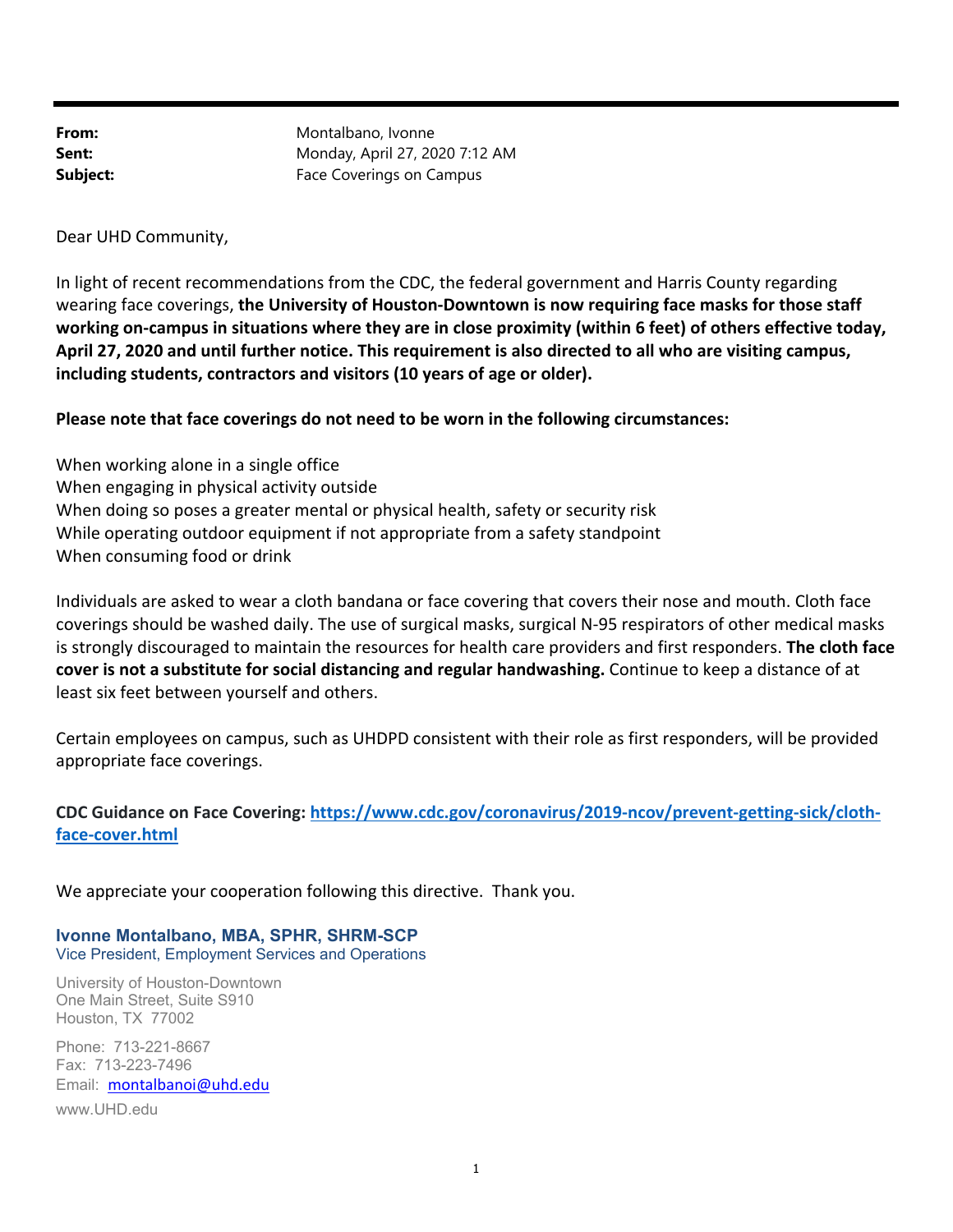From: Montalbano, Ivonne **Sent:** Monday, April 27, 2020 7:12 AM **Subject:** Face Coverings on Campus

Dear UHD Community,

In light of recent recommendations from the CDC, the federal government and Harris County regarding wearing face coverings, **the University of Houston‐Downtown is now requiring face masks for those staff working on‐campus in situations where they are in close proximity (within 6 feet) of others effective today, April 27, 2020 and until further notice. This requirement is also directed to all who are visiting campus, including students, contractors and visitors (10 years of age or older).** 

## **Please note that face coverings do not need to be worn in the following circumstances:**

When working alone in a single office When engaging in physical activity outside When doing so poses a greater mental or physical health, safety or security risk While operating outdoor equipment if not appropriate from a safety standpoint When consuming food or drink

Individuals are asked to wear a cloth bandana or face covering that covers their nose and mouth. Cloth face coverings should be washed daily. The use of surgical masks, surgical N‐95 respirators of other medical masks is strongly discouraged to maintain the resources for health care providers and first responders. **The cloth face cover is not a substitute for social distancing and regular handwashing.** Continue to keep a distance of at least six feet between yourself and others.

Certain employees on campus, such as UHDPD consistent with their role as first responders, will be provided appropriate face coverings.

## **CDC Guidance on Face Covering: https://www.cdc.gov/coronavirus/2019‐ncov/prevent‐getting‐sick/cloth‐ face‐cover.html**

We appreciate your cooperation following this directive. Thank you.

**Ivonne Montalbano, MBA, SPHR, SHRM-SCP** Vice President, Employment Services and Operations

University of Houston-Downtown One Main Street, Suite S910 Houston, TX 77002

Phone: 713-221-8667 Fax: 713-223-7496 Email: montalbanoi@uhd.edu www.UHD.edu